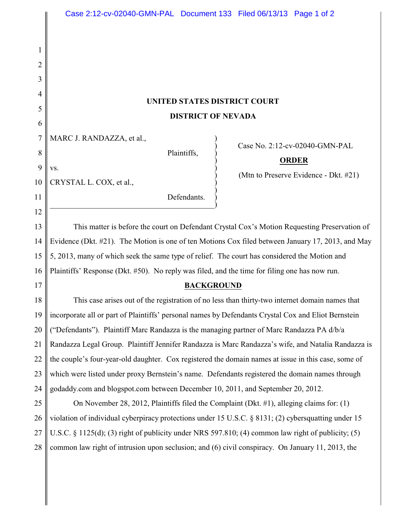# **UNITED STATES DISTRICT COURT DISTRICT OF NEVADA**

 $\big)$ 

MARC J. RANDAZZA, et al.,

 $\mathbf{v}\mathbf{s}$ .

Plaintiffs, )

) Case No. 2:12-cv-02040-GMN-PAL

## ) **ORDER**

) (Mtn to Preserve Evidence - Dkt. #21)

10 CRYSTAL L. COX, et al., )

> Defendants.  $\hspace{.5cm}$   $\hspace{.5cm}$   $\hspace{.5cm}$   $\hspace{.5cm}$   $\hspace{.5cm}$   $\hspace{.5cm}$   $\hspace{.5cm}$   $\hspace{.5cm}$   $\hspace{.5cm}$   $\hspace{.5cm}$   $\hspace{.5cm}$   $\hspace{.5cm}$   $\hspace{.5cm}$   $\hspace{.5cm}$   $\hspace{.5cm}$   $\hspace{.5cm}$   $\hspace{.5cm}$   $\hspace{.5cm}$   $\hspace{.5cm}$   $\hspace{.5cm}$

13 14 15 16 This matter is before the court on Defendant Crystal Cox's Motion Requesting Preservation of Evidence (Dkt. #21). The Motion is one of ten Motions Cox filed between January 17, 2013, and May 5, 2013, many of which seek the same type of relief. The court has considered the Motion and Plaintiffs' Response (Dkt. #50). No reply was filed, and the time for filing one has now run.

17

1

2

3

4

5

6

7

8

9

11

12

## **BACKGROUND**

18 19 20 21 22 23 24 This case arises out of the registration of no less than thirty-two internet domain names that incorporate all or part of Plaintiffs' personal names by Defendants Crystal Cox and Eliot Bernstein ("Defendants"). Plaintiff Marc Randazza is the managing partner of Marc Randazza PA d/b/a Randazza Legal Group. Plaintiff Jennifer Randazza is Marc Randazza's wife, and Natalia Randazza is the couple's four-year-old daughter. Cox registered the domain names at issue in this case, some of which were listed under proxy Bernstein's name. Defendants registered the domain names through godaddy.com and blogspot.com between December 10, 2011, and September 20, 2012.

25 26 27 28 On November 28, 2012, Plaintiffs filed the Complaint (Dkt. #1), alleging claims for: (1) violation of individual cyberpiracy protections under 15 U.S.C. § 8131; (2) cybersquatting under 15 U.S.C. § 1125(d); (3) right of publicity under NRS 597.810; (4) common law right of publicity; (5) common law right of intrusion upon seclusion; and (6) civil conspiracy. On January 11, 2013, the